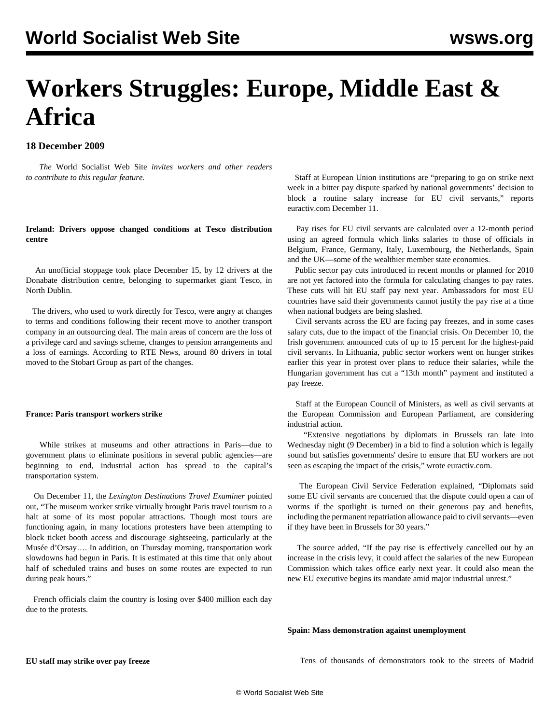# **Workers Struggles: Europe, Middle East & Africa**

# **18 December 2009**

 *The* World Socialist Web Site *invites workers and other readers to [contribute](/wsws/dd-formmailer/dd-formmailer.php) to this regular feature.*

## **Ireland: Drivers oppose changed conditions at Tesco distribution centre**

 An unofficial stoppage took place December 15, by 12 drivers at the Donabate distribution centre, belonging to supermarket giant Tesco, in North Dublin.

 The drivers, who used to work directly for Tesco, were angry at changes to terms and conditions following their recent move to another transport company in an outsourcing deal. The main areas of concern are the loss of a privilege card and savings scheme, changes to pension arrangements and a loss of earnings. According to RTE News, around 80 drivers in total moved to the Stobart Group as part of the changes.

#### **France: Paris transport workers strike**

 While strikes at museums and other attractions in Paris—due to government plans to eliminate positions in several public agencies—are beginning to end, industrial action has spread to the capital's transportation system.

 On December 11, the *Lexington Destinations Travel Examiner* pointed out, "The museum worker strike virtually brought Paris travel tourism to a halt at some of its most popular attractions. Though most tours are functioning again, in many locations protesters have been attempting to block ticket booth access and discourage sightseeing, particularly at the Musée d'Orsay…. In addition, on Thursday morning, transportation work slowdowns had begun in Paris. It is estimated at this time that only about half of scheduled trains and buses on some routes are expected to run during peak hours."

 French officials claim the country is losing over \$400 million each day due to the protests.

 Staff at European Union institutions are "preparing to go on strike next week in a bitter pay dispute sparked by national governments' decision to block a routine salary increase for EU civil servants," reports euractiv.com December 11.

 Pay rises for EU civil servants are calculated over a 12-month period using an agreed formula which links salaries to those of officials in Belgium, France, Germany, Italy, Luxembourg, the Netherlands, Spain and the UK—some of the wealthier member state economies.

 Public sector pay cuts introduced in recent months or planned for 2010 are not yet factored into the formula for calculating changes to pay rates. These cuts will hit EU staff pay next year. Ambassadors for most EU countries have said their governments cannot justify the pay rise at a time when national budgets are being slashed.

 Civil servants across the EU are facing pay freezes, and in some cases salary cuts, due to the impact of the financial crisis. On December 10, the Irish government announced cuts of up to 15 percent for the highest-paid civil servants. In Lithuania, public sector workers went on hunger strikes earlier this year in protest over plans to reduce their salaries, while the Hungarian government has cut a "13th month" payment and instituted a pay freeze.

 Staff at the European Council of Ministers, as well as civil servants at the European Commission and European Parliament, are considering industrial action.

 "Extensive negotiations by diplomats in Brussels ran late into Wednesday night (9 December) in a bid to find a solution which is legally sound but satisfies governments' desire to ensure that EU workers are not seen as escaping the impact of the crisis," wrote euractiv.com.

 The European Civil Service Federation explained, "Diplomats said some EU civil servants are concerned that the dispute could open a can of worms if the spotlight is turned on their generous pay and benefits, including the permanent repatriation allowance paid to civil servants—even if they have been in Brussels for 30 years."

 The source added, "If the pay rise is effectively cancelled out by an increase in the crisis levy, it could affect the salaries of the new European Commission which takes office early next year. It could also mean the new EU executive begins its mandate amid major industrial unrest."

#### **Spain: Mass demonstration against unemployment**

#### **EU staff may strike over pay freeze**

Tens of thousands of demonstrators took to the streets of Madrid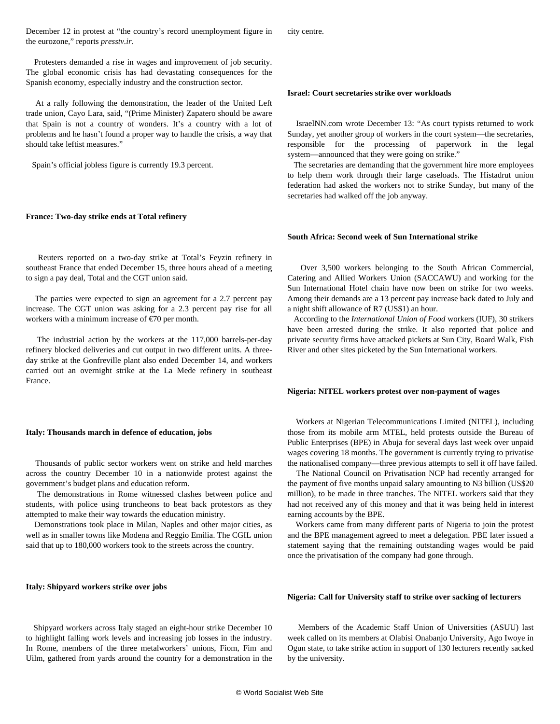December 12 in protest at "the country's record unemployment figure in the eurozone," reports *presstv.ir*.

 Protesters demanded a rise in wages and improvement of job security. The global economic crisis has had devastating consequences for the Spanish economy, especially industry and the construction sector.

 At a rally following the demonstration, the leader of the United Left trade union, Cayo Lara, said, "(Prime Minister) Zapatero should be aware that Spain is not a country of wonders. It's a country with a lot of problems and he hasn't found a proper way to handle the crisis, a way that should take leftist measures."

Spain's official jobless figure is currently 19.3 percent.

#### **France: Two-day strike ends at Total refinery**

 Reuters reported on a two-day strike at Total's Feyzin refinery in southeast France that ended December 15, three hours ahead of a meeting to sign a pay deal, Total and the CGT union said.

 The parties were expected to sign an agreement for a 2.7 percent pay increase. The CGT union was asking for a 2.3 percent pay rise for all workers with a minimum increase of  $\epsilon$ 70 per month.

 The industrial action by the workers at the 117,000 barrels-per-day refinery blocked deliveries and cut output in two different units. A threeday strike at the Gonfreville plant also ended December 14, and workers carried out an overnight strike at the La Mede refinery in southeast France.

#### **Italy: Thousands march in defence of education, jobs**

 Thousands of public sector workers went on strike and held marches across the country December 10 in a nationwide protest against the government's budget plans and education reform.

 The demonstrations in Rome witnessed clashes between police and students, with police using truncheons to beat back protestors as they attempted to make their way towards the education ministry.

 Demonstrations took place in Milan, Naples and other major cities, as well as in smaller towns like Modena and Reggio Emilia. The CGIL union said that up to 180,000 workers took to the streets across the country.

## **Italy: Shipyard workers strike over jobs**

 Shipyard workers across Italy staged an eight-hour strike December 10 to highlight falling work levels and increasing job losses in the industry. In Rome, members of the three metalworkers' unions, Fiom, Fim and Uilm, gathered from yards around the country for a demonstration in the city centre.

#### **Israel: Court secretaries strike over workloads**

 IsraelNN.com wrote December 13: "As court typists returned to work Sunday, yet another group of workers in the court system—the secretaries, responsible for the processing of paperwork in the legal system—announced that they were going on strike."

 The secretaries are demanding that the government hire more employees to help them work through their large caseloads. The Histadrut union federation had asked the workers not to strike Sunday, but many of the secretaries had walked off the job anyway.

#### **South Africa: Second week of Sun International strike**

 Over 3,500 workers belonging to the South African Commercial, Catering and Allied Workers Union (SACCAWU) and working for the Sun International Hotel chain have now been on strike for two weeks. Among their demands are a 13 percent pay increase back dated to July and a night shift allowance of R7 (US\$1) an hour.

 According to the *International Union of Food* workers (IUF), 30 strikers have been arrested during the strike. It also reported that police and private security firms have attacked pickets at Sun City, Board Walk, Fish River and other sites picketed by the Sun International workers.

#### **Nigeria: NITEL workers protest over non-payment of wages**

 Workers at Nigerian Telecommunications Limited (NITEL), including those from its mobile arm MTEL, held protests outside the Bureau of Public Enterprises (BPE) in Abuja for several days last week over unpaid wages covering 18 months. The government is currently trying to privatise the nationalised company—three previous attempts to sell it off have failed.

 The National Council on Privatisation NCP had recently arranged for the payment of five months unpaid salary amounting to N3 billion (US\$20 million), to be made in three tranches. The NITEL workers said that they had not received any of this money and that it was being held in interest earning accounts by the BPE.

 Workers came from many different parts of Nigeria to join the protest and the BPE management agreed to meet a delegation. PBE later issued a statement saying that the remaining outstanding wages would be paid once the privatisation of the company had gone through.

#### **Nigeria: Call for University staff to strike over sacking of lecturers**

 Members of the Academic Staff Union of Universities (ASUU) last week called on its members at Olabisi Onabanjo University, Ago Iwoye in Ogun state, to take strike action in support of 130 lecturers recently sacked by the university.